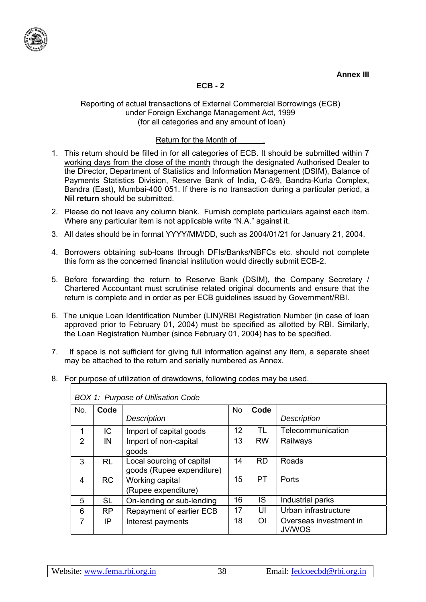

# **ECB - 2**

#### Reporting of actual transactions of External Commercial Borrowings (ECB) under Foreign Exchange Management Act, 1999 (for all categories and any amount of loan)

# Return for the Month of .

- 1. This return should be filled in for all categories of ECB. It should be submitted within 7 working days from the close of the month through the designated Authorised Dealer to the Director, Department of Statistics and Information Management (DSIM), Balance of Payments Statistics Division, Reserve Bank of India, C-8/9, Bandra-Kurla Complex, Bandra (East), Mumbai-400 051. If there is no transaction during a particular period, a **Nil return** should be submitted.
- 2. Please do not leave any column blank. Furnish complete particulars against each item. Where any particular item is not applicable write "N.A." against it.
- 3. All dates should be in format YYYY/MM/DD, such as 2004/01/21 for January 21, 2004.
- 4. Borrowers obtaining sub-loans through DFIs/Banks/NBFCs etc. should not complete this form as the concerned financial institution would directly submit ECB-2.
- 5. Before forwarding the return to Reserve Bank (DSIM), the Company Secretary / Chartered Accountant must scrutinise related original documents and ensure that the return is complete and in order as per ECB guidelines issued by Government/RBI.
- 6. The unique Loan Identification Number (LIN)/RBI Registration Number (in case of loan approved prior to February 01, 2004) must be specified as allotted by RBI. Similarly, the Loan Registration Number (since February 01, 2004) has to be specified.
- 7. If space is not sufficient for giving full information against any item, a separate sheet may be attached to the return and serially numbered as Annex.
- 8. For purpose of utilization of drawdowns, following codes may be used.

|               | BOX 1: Purpose of Utilisation Code |                           |           |                |                                         |  |  |  |
|---------------|------------------------------------|---------------------------|-----------|----------------|-----------------------------------------|--|--|--|
| No.           | Code                               |                           | <b>No</b> | Code           |                                         |  |  |  |
|               |                                    | <b>Description</b>        |           |                | <b>Description</b>                      |  |  |  |
| 1             | IC.                                | Import of capital goods   | 12        | TL             | Telecommunication                       |  |  |  |
| $\mathcal{P}$ | IN                                 | Import of non-capital     | 13        | <b>RW</b>      | Railways                                |  |  |  |
|               |                                    | goods                     |           |                |                                         |  |  |  |
| 3             | <b>RL</b>                          | Local sourcing of capital | 14        | <b>RD</b>      | Roads                                   |  |  |  |
|               |                                    | goods (Rupee expenditure) |           |                |                                         |  |  |  |
| 4             | <b>RC</b>                          | Working capital           | 15        | PT             | Ports                                   |  |  |  |
|               |                                    | (Rupee expenditure)       |           |                |                                         |  |  |  |
| 5             | <b>SL</b>                          | On-lending or sub-lending | 16        | IS.            | Industrial parks                        |  |  |  |
| 6             | <b>RP</b>                          | Repayment of earlier ECB  | 17        | UI             | Urban infrastructure                    |  |  |  |
| 7             | IP                                 | Interest payments         | 18        | O <sub>l</sub> | Overseas investment in<br><b>JV/WOS</b> |  |  |  |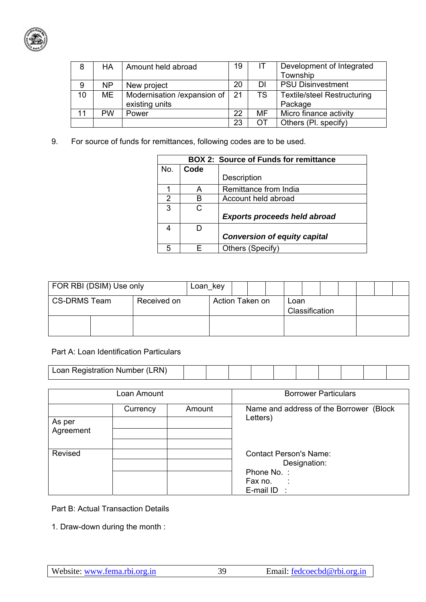

| 8  | <b>HA</b> | Amount held abroad           | 19 |     | Development of Integrated          |
|----|-----------|------------------------------|----|-----|------------------------------------|
|    |           |                              |    |     | Township                           |
| 9  | <b>NP</b> | New project                  | 20 | DI  | <b>PSU Disinvestment</b>           |
| 10 | ME        | Modernisation / expansion of | 21 | TS. | <b>Textile/steel Restructuring</b> |
|    |           | existing units               |    |     | Package                            |
| 11 | <b>PW</b> | Power                        | 22 | MF  | Micro finance activity             |
|    |           |                              | 23 |     | Others (Pl. specify)               |

9. For source of funds for remittances, following codes are to be used.

|     |      | <b>BOX 2: Source of Funds for remittance</b> |
|-----|------|----------------------------------------------|
| No. | Code |                                              |
|     |      | Description                                  |
|     | А    | Remittance from India                        |
| 2   | в    | Account held abroad                          |
| 3   |      |                                              |
|     |      | <b>Exports proceeds held abroad</b>          |
| 4   |      |                                              |
|     |      | <b>Conversion of equity capital</b>          |
| 5   |      | Others (Specify)                             |

| FOR RBI (DSIM) Use only |  | Loan key    |  |  |                                           |  |  |  |  |  |  |
|-------------------------|--|-------------|--|--|-------------------------------------------|--|--|--|--|--|--|
| <b>CS-DRMS Team</b>     |  | Received on |  |  | Action Taken on<br>Loan<br>Classification |  |  |  |  |  |  |
|                         |  |             |  |  |                                           |  |  |  |  |  |  |

## Part A: Loan Identification Particulars

| ∟RN`<br>Toan Registration N<br>Loan Registration Number |  |  |  |  |  |  |  |  |  |  |
|---------------------------------------------------------|--|--|--|--|--|--|--|--|--|--|
|---------------------------------------------------------|--|--|--|--|--|--|--|--|--|--|

|                     | Loan Amount |        | <b>Borrower Particulars</b>                                                                                 |  |  |  |
|---------------------|-------------|--------|-------------------------------------------------------------------------------------------------------------|--|--|--|
| As per<br>Agreement | Currency    | Amount | Name and address of the Borrower<br>(Block<br>Letters)                                                      |  |  |  |
|                     |             |        |                                                                                                             |  |  |  |
| Revised             |             |        | <b>Contact Person's Name:</b><br>Designation:<br>Phone No.:<br>Fax no.<br>$\sim$ 100 $\pm$<br>E-mail $ID$ : |  |  |  |

Part B: Actual Transaction Details

1. Draw-down during the month :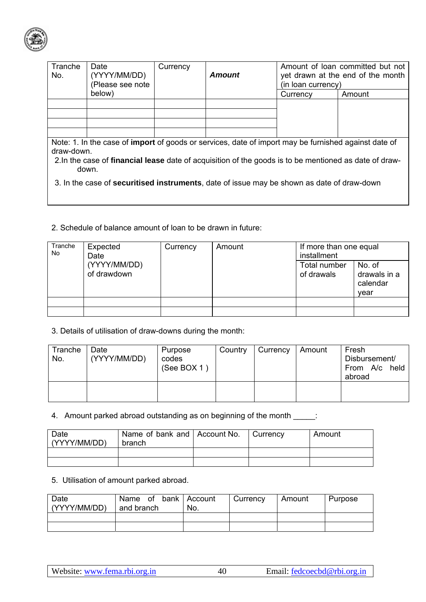

| Date<br>(YYYY/MM/DD)<br>(Please see note                                                                                                                                                                                            | Currency | Amount | (in loan currency) | Amount of loan committed but not<br>yet drawn at the end of the month |  |  |  |  |
|-------------------------------------------------------------------------------------------------------------------------------------------------------------------------------------------------------------------------------------|----------|--------|--------------------|-----------------------------------------------------------------------|--|--|--|--|
| below)                                                                                                                                                                                                                              |          |        | Currency           | Amount                                                                |  |  |  |  |
|                                                                                                                                                                                                                                     |          |        |                    |                                                                       |  |  |  |  |
|                                                                                                                                                                                                                                     |          |        |                    |                                                                       |  |  |  |  |
|                                                                                                                                                                                                                                     |          |        |                    |                                                                       |  |  |  |  |
|                                                                                                                                                                                                                                     |          |        |                    |                                                                       |  |  |  |  |
| Note: 1. In the case of <b>import</b> of goods or services, date of import may be furnished against date of<br>draw-down.<br>2. In the case of financial lease date of acquisition of the goods is to be mentioned as date of draw- |          |        |                    |                                                                       |  |  |  |  |
|                                                                                                                                                                                                                                     | down.    |        |                    |                                                                       |  |  |  |  |

- 3. In the case of **securitised instruments**, date of issue may be shown as date of draw-down
- 2. Schedule of balance amount of loan to be drawn in future:

| Tranche<br>No | Expected<br>Date            | Currency | Amount | If more than one equal<br>installment |                                            |  |
|---------------|-----------------------------|----------|--------|---------------------------------------|--------------------------------------------|--|
|               | (YYYY/MM/DD)<br>of drawdown |          |        | Total number<br>of drawals            | No. of<br>drawals in a<br>calendar<br>vear |  |
|               |                             |          |        |                                       |                                            |  |
|               |                             |          |        |                                       |                                            |  |

3. Details of utilisation of draw-downs during the month:

| Tranche<br>No. | Date<br>(YYYY/MM/DD) | Purpose<br>codes<br>(See BOX 1) | Country | Currency | Amount | Fresh<br>Disbursement/<br>From A/c held<br>abroad |
|----------------|----------------------|---------------------------------|---------|----------|--------|---------------------------------------------------|
|                |                      |                                 |         |          |        |                                                   |

4. Amount parked abroad outstanding as on beginning of the month \_\_\_\_\_:

| Date<br>(YYYY/MM/DD) | Name of bank and   Account No.<br>branch | Currency | Amount |
|----------------------|------------------------------------------|----------|--------|
|                      |                                          |          |        |
|                      |                                          |          |        |

5. Utilisation of amount parked abroad.

| Date<br>(YYYY/MM/DD) | Name of bank Account<br>and branch | No. | Currency | l Amount | Purpose |
|----------------------|------------------------------------|-----|----------|----------|---------|
|                      |                                    |     |          |          |         |
|                      |                                    |     |          |          |         |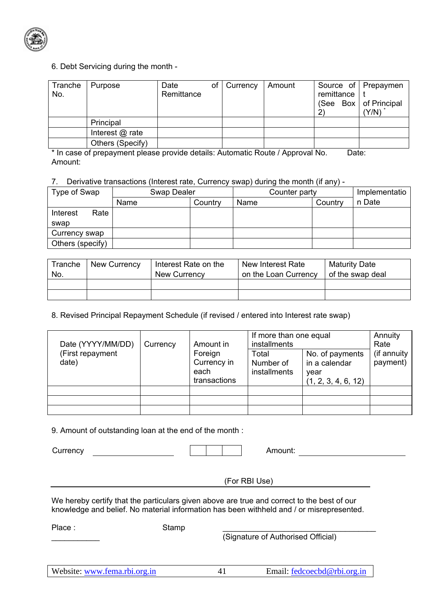

## 6. Debt Servicing during the month -

| Tranche<br>No. | Purpose           | Date<br>Remittance | οf | Currency | Amount | remittance<br>2) | Source of Prepaymen<br>(See Box $\vert$ of Principal<br>(Y/N) |
|----------------|-------------------|--------------------|----|----------|--------|------------------|---------------------------------------------------------------|
|                | Principal         |                    |    |          |        |                  |                                                               |
|                | Interest $@$ rate |                    |    |          |        |                  |                                                               |
|                | Others (Specify)  |                    |    |          |        |                  |                                                               |

\* In case of prepayment please provide details: Automatic Route / Approval No. Date: Amount:

### 7. Derivative transactions (Interest rate, Currency swap) during the month (if any) -

| Type of Swap     | Swap Dealer |         | Counter party |         | Implementatio |
|------------------|-------------|---------|---------------|---------|---------------|
|                  | Name        | Countrv | Name          | Country | n Date        |
| Rate<br>Interest |             |         |               |         |               |
| swap             |             |         |               |         |               |
| Currency swap    |             |         |               |         |               |
| Others (specify) |             |         |               |         |               |

| Tranche<br>No. | New Currency | Interest Rate on the<br>New Currency | New Interest Rate<br>on the Loan Currency | <b>Maturity Date</b><br>of the swap deal |
|----------------|--------------|--------------------------------------|-------------------------------------------|------------------------------------------|
|                |              |                                      |                                           |                                          |
|                |              |                                      |                                           |                                          |

8. Revised Principal Repayment Schedule (if revised / entered into Interest rate swap)

| Date (YYYY/MM/DD)         | Currency | Amount in<br>Foreign<br>Currency in<br>each | If more than one equal<br>installments |                                          | Annuity<br>Rate          |
|---------------------------|----------|---------------------------------------------|----------------------------------------|------------------------------------------|--------------------------|
| (First repayment<br>date) |          |                                             | Total<br>Number of<br>installments     | No. of payments<br>in a calendar<br>year | (if annuity)<br>payment) |
|                           |          | transactions                                |                                        | (1, 2, 3, 4, 6, 12)                      |                          |
|                           |          |                                             |                                        |                                          |                          |
|                           |          |                                             |                                        |                                          |                          |

9. Amount of outstanding loan at the end of the month :

Currency and the currency of the currency of the currency of  $\vert \cdot \vert$  amount: (For RBI Use) We hereby certify that the particulars given above are true and correct to the best of our knowledge and belief. No material information has been withheld and / or misrepresented. Place :  $\frac{1}{2}$  ,  $\frac{1}{2}$  ,  $\frac{1}{2}$  ,  $\frac{1}{2}$  ,  $\frac{1}{2}$  ,  $\frac{1}{2}$ Stamp (Signature of Authorised Official)